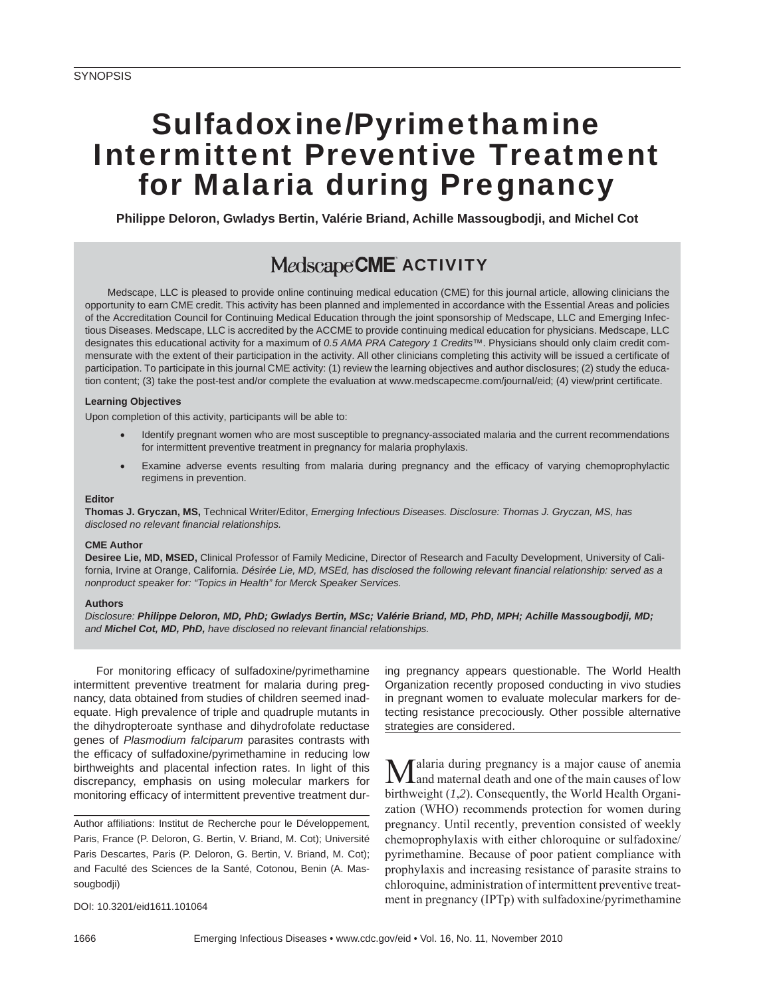# Sulfadoxine/Pyrimethamine Intermittent Preventive Treatment for Malaria during Pregnancy

**Philippe Deloron, Gwladys Bertin, Valérie Briand, Achille Massougbodji, and Michel Cot**

# MedscapeCME ACTIVITY

Medscape, LLC is pleased to provide online continuing medical education (CME) for this journal article, allowing clinicians the opportunity to earn CME credit. This activity has been planned and implemented in accordance with the Essential Areas and policies of the Accreditation Council for Continuing Medical Education through the joint sponsorship of Medscape, LLC and Emerging Infectious Diseases. Medscape, LLC is accredited by the ACCME to provide continuing medical education for physicians. Medscape, LLC designates this educational activity for a maximum of *0.5 AMA PRA Category 1 Credits*™. Physicians should only claim credit commensurate with the extent of their participation in the activity. All other clinicians completing this activity will be issued a certificate of participation. To participate in this journal CME activity: (1) review the learning objectives and author disclosures; (2) study the education content; (3) take the post-test and/or complete the evaluation at www.medscapecme.com/journal/eid; (4) view/print certificate.

#### **Learning Objectives**

Upon completion of this activity, participants will be able to:

- Identify pregnant women who are most susceptible to pregnancy-associated malaria and the current recommendations for intermittent preventive treatment in pregnancy for malaria prophylaxis.
- Examine adverse events resulting from malaria during pregnancy and the efficacy of varying chemoprophylactic regimens in prevention.

#### **Editor**

**Thomas J. Gryczan, MS,** Technical Writer/Editor, *Emerging Infectious Diseases. Disclosure: Thomas J. Gryczan, MS, has disclosed no relevant fi nancial relationships.*

#### **CME Author**

**Desiree Lie, MD, MSED,** Clinical Professor of Family Medicine, Director of Research and Faculty Development, University of California, Irvine at Orange, California. Désirée Lie, MD, MSEd, has disclosed the following relevant financial relationship: served as a *nonproduct speaker for: "Topics in Health" for Merck Speaker Services.*

#### **Authors**

*Disclosure: Philippe Deloron, MD, PhD; Gwladys Bertin, MSc; Valérie Briand, MD, PhD, MPH; Achille Massougbodji, MD; and Michel Cot, MD, PhD, have disclosed no relevant fi nancial relationships.*

For monitoring efficacy of sulfadoxine/pyrimethamine intermittent preventive treatment for malaria during pregnancy, data obtained from studies of children seemed inadequate. High prevalence of triple and quadruple mutants in the dihydropteroate synthase and dihydrofolate reductase genes of *Plasmodium falciparum* parasites contrasts with the efficacy of sulfadoxine/pyrimethamine in reducing low birthweights and placental infection rates. In light of this discrepancy, emphasis on using molecular markers for monitoring efficacy of intermittent preventive treatment dur-

Author affiliations: Institut de Recherche pour le Développement, Paris, France (P. Deloron, G. Bertin, V. Briand, M. Cot); Université Paris Descartes, Paris (P. Deloron, G. Bertin, V. Briand, M. Cot); and Faculté des Sciences de la Santé, Cotonou, Benin (A. Massougbodji)

DOI: 10.3201/eid1611.101064

ing pregnancy appears questionable. The World Health Organization recently proposed conducting in vivo studies in pregnant women to evaluate molecular markers for detecting resistance precociously. Other possible alternative strategies are considered.

Malaria during pregnancy is a major cause of anemia<br>
Mand maternal death and one of the main causes of low birthweight (*1*,*2*). Consequently, the World Health Organization (WHO) recommends protection for women during pregnancy. Until recently, prevention consisted of weekly chemoprophylaxis with either chloroquine or sulfadoxine/ pyrimethamine. Because of poor patient compliance with prophylaxis and increasing resistance of parasite strains to chloroquine, administration of intermittent preventive treatment in pregnancy (IPTp) with sulfadoxine/pyrimethamine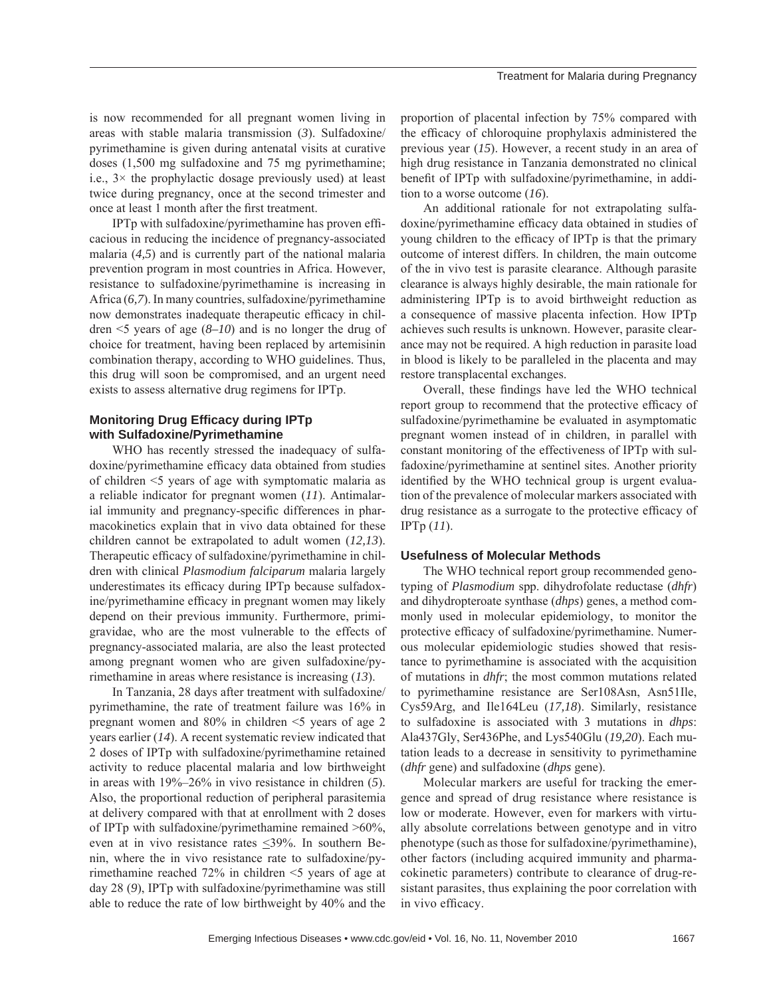is now recommended for all pregnant women living in areas with stable malaria transmission (*3*). Sulfadoxine/ pyrimethamine is given during antenatal visits at curative doses (1,500 mg sulfadoxine and 75 mg pyrimethamine; i.e.,  $3 \times$  the prophylactic dosage previously used) at least twice during pregnancy, once at the second trimester and once at least 1 month after the first treatment.

IPTp with sulfadoxine/pyrimethamine has proven effi cacious in reducing the incidence of pregnancy-associated malaria (*4,5*) and is currently part of the national malaria prevention program in most countries in Africa. However, resistance to sulfadoxine/pyrimethamine is increasing in Africa (*6,7*). In many countries, sulfadoxine/pyrimethamine now demonstrates inadequate therapeutic efficacy in children <5 years of age (*8–10*) and is no longer the drug of choice for treatment, having been replaced by artemisinin combination therapy, according to WHO guidelines. Thus, this drug will soon be compromised, and an urgent need exists to assess alternative drug regimens for IPTp.

#### **Monitoring Drug Effi cacy during IPTp with Sulfadoxine/Pyrimethamine**

WHO has recently stressed the inadequacy of sulfadoxine/pyrimethamine efficacy data obtained from studies of children <5 years of age with symptomatic malaria as a reliable indicator for pregnant women (*11*). Antimalarial immunity and pregnancy-specific differences in pharmacokinetics explain that in vivo data obtained for these children cannot be extrapolated to adult women (*12,13*). Therapeutic efficacy of sulfadoxine/pyrimethamine in children with clinical *Plasmodium falciparum* malaria largely underestimates its efficacy during IPTp because sulfadoxine/pyrimethamine efficacy in pregnant women may likely depend on their previous immunity. Furthermore, primigravidae, who are the most vulnerable to the effects of pregnancy-associated malaria, are also the least protected among pregnant women who are given sulfadoxine/pyrimethamine in areas where resistance is increasing (*13*).

In Tanzania, 28 days after treatment with sulfadoxine/ pyrimethamine, the rate of treatment failure was 16% in pregnant women and  $80\%$  in children  $\leq$  years of age 2 years earlier (*14*). A recent systematic review indicated that 2 doses of IPTp with sulfadoxine/pyrimethamine retained activity to reduce placental malaria and low birthweight in areas with 19%–26% in vivo resistance in children (*5*). Also, the proportional reduction of peripheral parasitemia at delivery compared with that at enrollment with 2 doses of IPTp with sulfadoxine/pyrimethamine remained  $>60\%$ , even at in vivo resistance rates  $\leq$ 39%. In southern Benin, where the in vivo resistance rate to sulfadoxine/pyrimethamine reached 72% in children <5 years of age at day 28 (*9*), IPTp with sulfadoxine/pyrimethamine was still able to reduce the rate of low birthweight by 40% and the

proportion of placental infection by 75% compared with the efficacy of chloroquine prophylaxis administered the previous year (*15*). However, a recent study in an area of high drug resistance in Tanzania demonstrated no clinical benefit of IPTp with sulfadoxine/pyrimethamine, in addition to a worse outcome (*16*).

An additional rationale for not extrapolating sulfadoxine/pyrimethamine efficacy data obtained in studies of young children to the efficacy of IPTp is that the primary outcome of interest differs. In children, the main outcome of the in vivo test is parasite clearance. Although parasite clearance is always highly desirable, the main rationale for administering IPTp is to avoid birthweight reduction as a consequence of massive placenta infection. How IPTp achieves such results is unknown. However, parasite clearance may not be required. A high reduction in parasite load in blood is likely to be paralleled in the placenta and may restore transplacental exchanges.

Overall, these findings have led the WHO technical report group to recommend that the protective efficacy of sulfadoxine/pyrimethamine be evaluated in asymptomatic pregnant women instead of in children, in parallel with constant monitoring of the effectiveness of IPTp with sulfadoxine/pyrimethamine at sentinel sites. Another priority identified by the WHO technical group is urgent evaluation of the prevalence of molecular markers associated with drug resistance as a surrogate to the protective efficacy of IPTp (*11*).

#### **Usefulness of Molecular Methods**

The WHO technical report group recommended genotyping of *Plasmodium* spp. dihydrofolate reductase (*dhfr*) and dihydropteroate synthase (*dhps*) genes, a method commonly used in molecular epidemiology, to monitor the protective efficacy of sulfadoxine/pyrimethamine. Numerous molecular epidemiologic studies showed that resistance to pyrimethamine is associated with the acquisition of mutations in *dhfr*; the most common mutations related to pyrimethamine resistance are Ser108Asn, Asn51Ile, Cys59Arg, and Ile164Leu (*17,18*). Similarly, resistance to sulfadoxine is associated with 3 mutations in *dhps*: Ala437Gly, Ser436Phe, and Lys540Glu (*19,20*). Each mutation leads to a decrease in sensitivity to pyrimethamine (*dhfr* gene) and sulfadoxine (*dhps* gene).

Molecular markers are useful for tracking the emergence and spread of drug resistance where resistance is low or moderate. However, even for markers with virtually absolute correlations between genotype and in vitro phenotype (such as those for sulfadoxine/pyrimethamine), other factors (including acquired immunity and pharmacokinetic parameters) contribute to clearance of drug-resistant parasites, thus explaining the poor correlation with in vivo efficacy.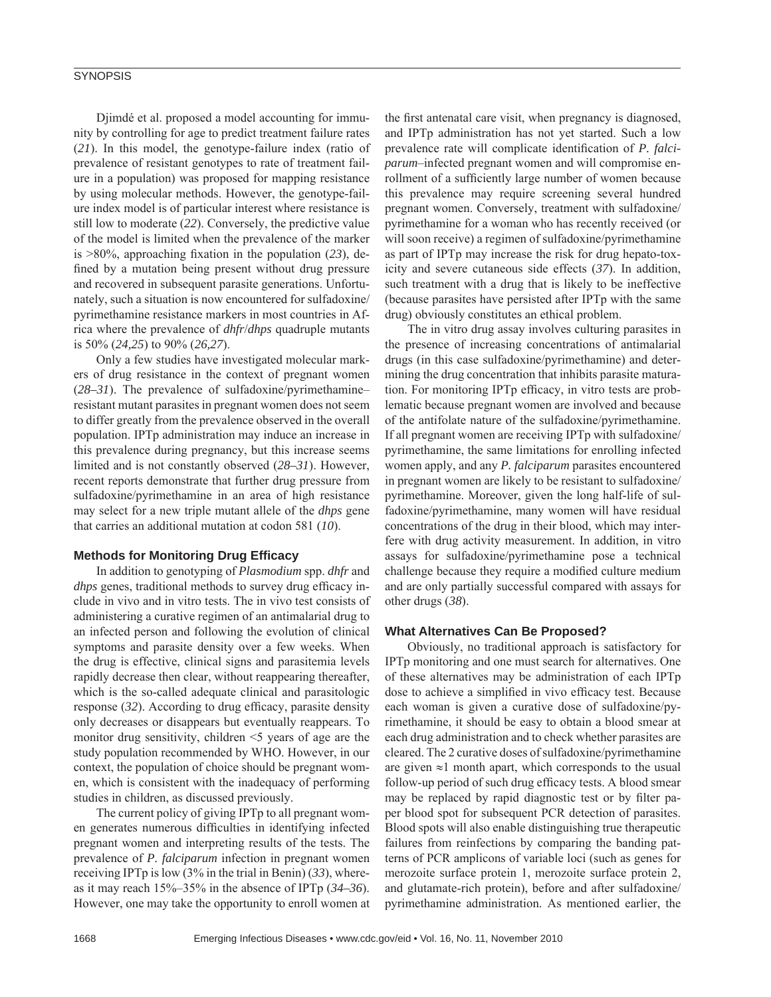#### **SYNOPSIS**

Djimdé et al. proposed a model accounting for immunity by controlling for age to predict treatment failure rates (*21*). In this model, the genotype-failure index (ratio of prevalence of resistant genotypes to rate of treatment failure in a population) was proposed for mapping resistance by using molecular methods. However, the genotype-failure index model is of particular interest where resistance is still low to moderate (*22*). Conversely, the predictive value of the model is limited when the prevalence of the marker is  $>80\%$ , approaching fixation in the population (23), defined by a mutation being present without drug pressure and recovered in subsequent parasite generations. Unfortunately, such a situation is now encountered for sulfadoxine/ pyrimethamine resistance markers in most countries in Africa where the prevalence of *dhfr*/*dhps* quadruple mutants is 50% (*24,25*) to 90% (*26,27*).

Only a few studies have investigated molecular markers of drug resistance in the context of pregnant women (*28–31*). The prevalence of sulfadoxine/pyrimethamine– resistant mutant parasites in pregnant women does not seem to differ greatly from the prevalence observed in the overall population. IPTp administration may induce an increase in this prevalence during pregnancy, but this increase seems limited and is not constantly observed (*28–31*). However, recent reports demonstrate that further drug pressure from sulfadoxine/pyrimethamine in an area of high resistance may select for a new triple mutant allele of the *dhps* gene that carries an additional mutation at codon 581 (*10*).

#### **Methods for Monitoring Drug Efficacy**

In addition to genotyping of *Plasmodium* spp. *dhfr* and *dhps* genes, traditional methods to survey drug efficacy include in vivo and in vitro tests. The in vivo test consists of administering a curative regimen of an antimalarial drug to an infected person and following the evolution of clinical symptoms and parasite density over a few weeks. When the drug is effective, clinical signs and parasitemia levels rapidly decrease then clear, without reappearing thereafter, which is the so-called adequate clinical and parasitologic response (32). According to drug efficacy, parasite density only decreases or disappears but eventually reappears. To monitor drug sensitivity, children  $\leq$  years of age are the study population recommended by WHO. However, in our context, the population of choice should be pregnant women, which is consistent with the inadequacy of performing studies in children, as discussed previously.

The current policy of giving IPTp to all pregnant women generates numerous difficulties in identifying infected pregnant women and interpreting results of the tests. The prevalence of *P. falciparum* infection in pregnant women receiving IPTp is low (3% in the trial in Benin) (*33*), whereas it may reach 15%–35% in the absence of IPTp (*34–36*). However, one may take the opportunity to enroll women at

the first antenatal care visit, when pregnancy is diagnosed, and IPTp administration has not yet started. Such a low prevalence rate will complicate identification of *P. falciparum*–infected pregnant women and will compromise enrollment of a sufficiently large number of women because this prevalence may require screening several hundred pregnant women. Conversely, treatment with sulfadoxine/ pyrimethamine for a woman who has recently received (or will soon receive) a regimen of sulfadoxine/pyrimethamine as part of IPTp may increase the risk for drug hepato-toxicity and severe cutaneous side effects (*37*). In addition, such treatment with a drug that is likely to be ineffective (because parasites have persisted after IPTp with the same drug) obviously constitutes an ethical problem.

The in vitro drug assay involves culturing parasites in the presence of increasing concentrations of antimalarial drugs (in this case sulfadoxine/pyrimethamine) and determining the drug concentration that inhibits parasite maturation. For monitoring IPTp efficacy, in vitro tests are problematic because pregnant women are involved and because of the antifolate nature of the sulfadoxine/pyrimethamine. If all pregnant women are receiving IPTp with sulfadoxine/ pyrimethamine, the same limitations for enrolling infected women apply, and any *P. falciparum* parasites encountered in pregnant women are likely to be resistant to sulfadoxine/ pyrimethamine. Moreover, given the long half-life of sulfadoxine/pyrimethamine, many women will have residual concentrations of the drug in their blood, which may interfere with drug activity measurement. In addition, in vitro assays for sulfadoxine/pyrimethamine pose a technical challenge because they require a modified culture medium and are only partially successful compared with assays for other drugs (*38*).

#### **What Alternatives Can Be Proposed?**

Obviously, no traditional approach is satisfactory for IPTp monitoring and one must search for alternatives. One of these alternatives may be administration of each IPTp dose to achieve a simplified in vivo efficacy test. Because each woman is given a curative dose of sulfadoxine/pyrimethamine, it should be easy to obtain a blood smear at each drug administration and to check whether parasites are cleared. The 2 curative doses of sulfadoxine/pyrimethamine are given ≈1 month apart, which corresponds to the usual follow-up period of such drug efficacy tests. A blood smear may be replaced by rapid diagnostic test or by filter paper blood spot for subsequent PCR detection of parasites. Blood spots will also enable distinguishing true therapeutic failures from reinfections by comparing the banding patterns of PCR amplicons of variable loci (such as genes for merozoite surface protein 1, merozoite surface protein 2, and glutamate-rich protein), before and after sulfadoxine/ pyrimethamine administration. As mentioned earlier, the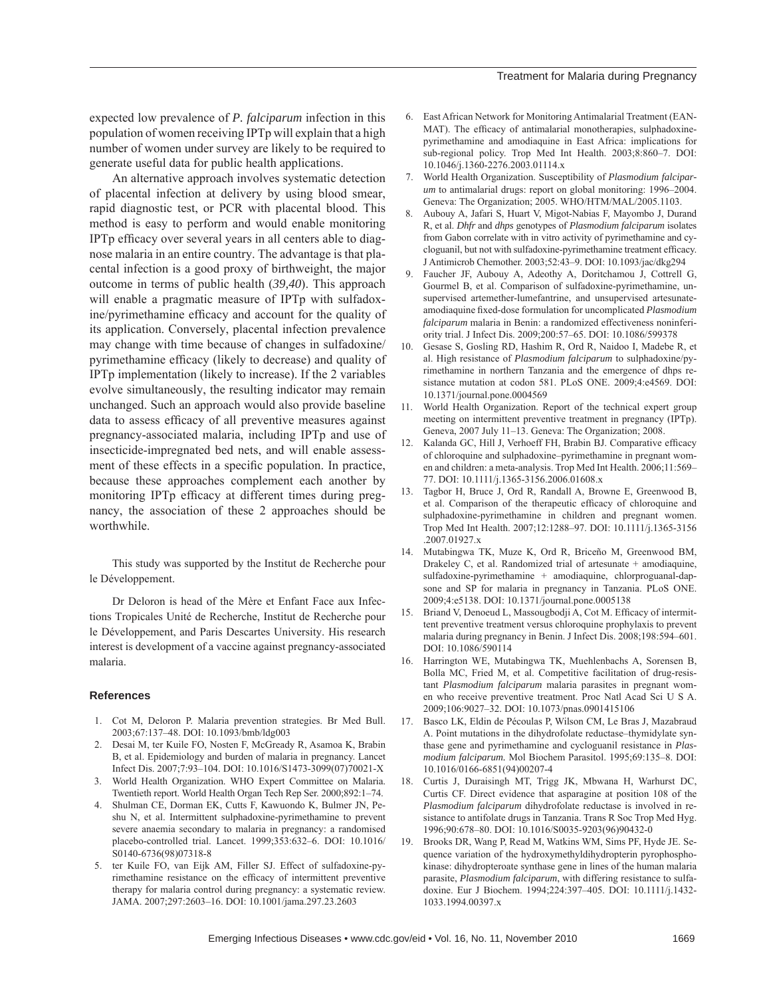expected low prevalence of *P. falciparum* infection in this population of women receiving IPTp will explain that a high number of women under survey are likely to be required to generate useful data for public health applications.

An alternative approach involves systematic detection of placental infection at delivery by using blood smear, rapid diagnostic test, or PCR with placental blood. This method is easy to perform and would enable monitoring IPTp efficacy over several years in all centers able to diagnose malaria in an entire country. The advantage is that placental infection is a good proxy of birthweight, the major outcome in terms of public health (*39,40*). This approach will enable a pragmatic measure of IPTp with sulfadoxine/pyrimethamine efficacy and account for the quality of its application. Conversely, placental infection prevalence may change with time because of changes in sulfadoxine/ pyrimethamine efficacy (likely to decrease) and quality of IPTp implementation (likely to increase). If the 2 variables evolve simultaneously, the resulting indicator may remain unchanged. Such an approach would also provide baseline data to assess efficacy of all preventive measures against pregnancy-associated malaria, including IPTp and use of insecticide-impregnated bed nets, and will enable assessment of these effects in a specific population. In practice, because these approaches complement each another by monitoring IPTp efficacy at different times during pregnancy, the association of these 2 approaches should be worthwhile.

This study was supported by the Institut de Recherche pour le Développement.

Dr Deloron is head of the Mère et Enfant Face aux Infections Tropicales Unité de Recherche, Institut de Recherche pour le Développement, and Paris Descartes University. His research interest is development of a vaccine against pregnancy-associated malaria.

#### **References**

- 1. Cot M, Deloron P. Malaria prevention strategies. Br Med Bull. 2003;67:137–48. DOI: 10.1093/bmb/ldg003
- 2. Desai M, ter Kuile FO, Nosten F, McGready R, Asamoa K, Brabin B, et al. Epidemiology and burden of malaria in pregnancy. Lancet Infect Dis. 2007;7:93–104. DOI: 10.1016/S1473-3099(07)70021-X
- 3. World Health Organization. WHO Expert Committee on Malaria. Twentieth report. World Health Organ Tech Rep Ser. 2000;892:1–74.
- 4. Shulman CE, Dorman EK, Cutts F, Kawuondo K, Bulmer JN, Peshu N, et al. Intermittent sulphadoxine-pyrimethamine to prevent severe anaemia secondary to malaria in pregnancy: a randomised placebo-controlled trial. Lancet. 1999;353:632–6. DOI: 10.1016/ S0140-6736(98)07318-8
- 5. ter Kuile FO, van Eijk AM, Filler SJ. Effect of sulfadoxine-pyrimethamine resistance on the efficacy of intermittent preventive therapy for malaria control during pregnancy: a systematic review. JAMA. 2007;297:2603–16. DOI: 10.1001/jama.297.23.2603
- 6. East African Network for Monitoring Antimalarial Treatment (EAN-MAT). The efficacy of antimalarial monotherapies, sulphadoxinepyrimethamine and amodiaquine in East Africa: implications for sub-regional policy. Trop Med Int Health. 2003;8:860–7. DOI: 10.1046/j.1360-2276.2003.01114.x
- 7. World Health Organization. Susceptibility of *Plasmodium falciparum* to antimalarial drugs: report on global monitoring: 1996–2004. Geneva: The Organization; 2005. WHO/HTM/MAL/2005.1103.
- 8. Aubouy A, Jafari S, Huart V, Migot-Nabias F, Mayombo J, Durand R, et al. *Dhfr* and *dhps* genotypes of *Plasmodium falciparum* isolates from Gabon correlate with in vitro activity of pyrimethamine and cycloguanil, but not with sulfadoxine-pyrimethamine treatment efficacy. J Antimicrob Chemother. 2003;52:43–9. DOI: 10.1093/jac/dkg294
- 9. Faucher JF, Aubouy A, Adeothy A, Doritchamou J, Cottrell G, Gourmel B, et al. Comparison of sulfadoxine-pyrimethamine, unsupervised artemether-lumefantrine, and unsupervised artesunateamodiaquine fixed-dose formulation for uncomplicated *Plasmodium falciparum* malaria in Benin: a randomized effectiveness noninferiority trial. J Infect Dis. 2009;200:57–65. DOI: 10.1086/599378
- 10. Gesase S, Gosling RD, Hashim R, Ord R, Naidoo I, Madebe R, et al. High resistance of *Plasmodium falciparum* to sulphadoxine/pyrimethamine in northern Tanzania and the emergence of dhps resistance mutation at codon 581. PLoS ONE. 2009;4:e4569. DOI: 10.1371/journal.pone.0004569
- 11. World Health Organization. Report of the technical expert group meeting on intermittent preventive treatment in pregnancy (IPTp). Geneva, 2007 July 11–13. Geneva: The Organization; 2008.
- 12. Kalanda GC, Hill J, Verhoeff FH, Brabin BJ. Comparative efficacy of chloroquine and sulphadoxine–pyrimethamine in pregnant women and children: a meta-analysis. Trop Med Int Health. 2006;11:569– 77. DOI: 10.1111/j.1365-3156.2006.01608.x
- 13. Tagbor H, Bruce J, Ord R, Randall A, Browne E, Greenwood B, et al. Comparison of the therapeutic efficacy of chloroquine and sulphadoxine-pyrimethamine in children and pregnant women. Trop Med Int Health. 2007;12:1288–97. DOI: 10.1111/j.1365-3156 .2007.01927.x
- 14. Mutabingwa TK, Muze K, Ord R, Briceño M, Greenwood BM, Drakeley C, et al. Randomized trial of artesunate + amodiaquine, sulfadoxine-pyrimethamine + amodiaquine, chlorproguanal-dapsone and SP for malaria in pregnancy in Tanzania. PLoS ONE. 2009;4:e5138. DOI: 10.1371/journal.pone.0005138
- 15. Briand V, Denoeud L, Massougbodji A, Cot M. Efficacy of intermittent preventive treatment versus chloroquine prophylaxis to prevent malaria during pregnancy in Benin. J Infect Dis. 2008;198:594–601. DOI: 10.1086/590114
- 16. Harrington WE, Mutabingwa TK, Muehlenbachs A, Sorensen B, Bolla MC, Fried M, et al. Competitive facilitation of drug-resistant *Plasmodium falciparum* malaria parasites in pregnant women who receive preventive treatment. Proc Natl Acad Sci U S A. 2009;106:9027–32. DOI: 10.1073/pnas.0901415106
- 17. Basco LK, Eldin de Pécoulas P, Wilson CM, Le Bras J, Mazabraud A. Point mutations in the dihydrofolate reductase–thymidylate synthase gene and pyrimethamine and cycloguanil resistance in *Plasmodium falciparum.* Mol Biochem Parasitol. 1995;69:135–8. DOI: 10.1016/0166-6851(94)00207-4
- 18. Curtis J, Duraisingh MT, Trigg JK, Mbwana H, Warhurst DC, Curtis CF. Direct evidence that asparagine at position 108 of the *Plasmodium falciparum* dihydrofolate reductase is involved in resistance to antifolate drugs in Tanzania. Trans R Soc Trop Med Hyg. 1996;90:678–80. DOI: 10.1016/S0035-9203(96)90432-0
- 19. Brooks DR, Wang P, Read M, Watkins WM, Sims PF, Hyde JE. Sequence variation of the hydroxymethyldihydropterin pyrophosphokinase: dihydropteroate synthase gene in lines of the human malaria parasite, *Plasmodium falciparum*, with differing resistance to sulfadoxine. Eur J Biochem. 1994;224:397–405. DOI: 10.1111/j.1432- 1033.1994.00397.x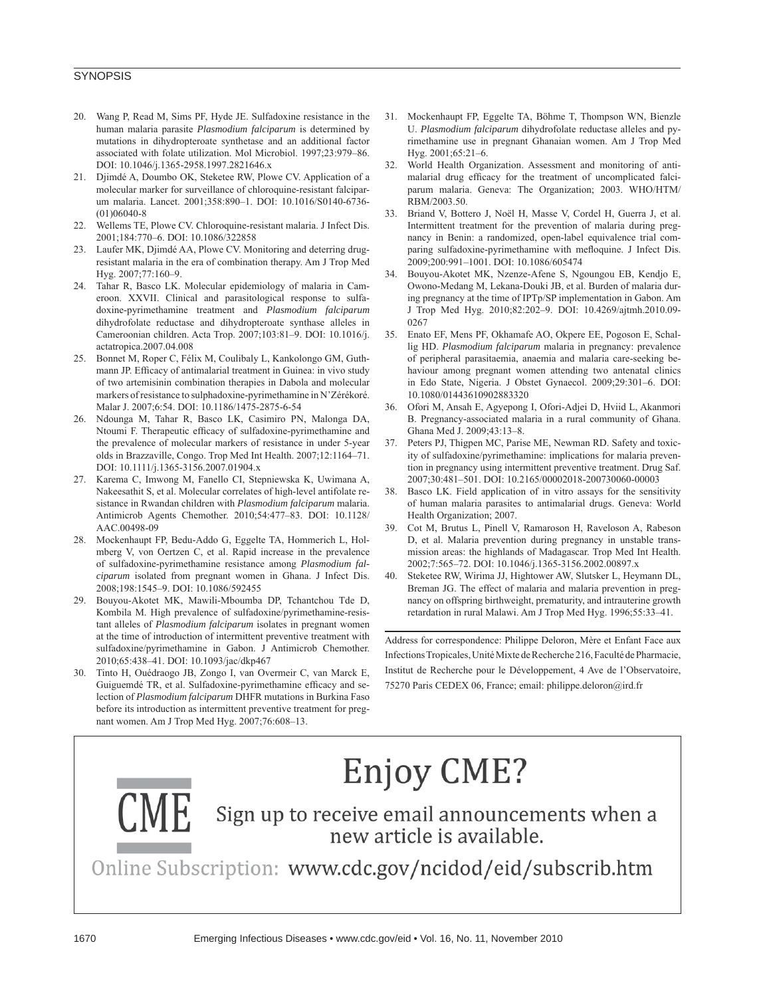#### **SYNOPSIS**

- 20. Wang P, Read M, Sims PF, Hyde JE. Sulfadoxine resistance in the human malaria parasite *Plasmodium falciparum* is determined by mutations in dihydropteroate synthetase and an additional factor associated with folate utilization. Mol Microbiol. 1997;23:979–86. DOI: 10.1046/j.1365-2958.1997.2821646.x
- 21. Djimdé A, Doumbo OK, Steketee RW, Plowe CV. Application of a molecular marker for surveillance of chloroquine-resistant falciparum malaria. Lancet. 2001;358:890–1. DOI: 10.1016/S0140-6736- (01)06040-8
- 22. Wellems TE, Plowe CV. Chloroquine-resistant malaria. J Infect Dis. 2001;184:770–6. DOI: 10.1086/322858
- 23. Laufer MK, Djimdé AA, Plowe CV. Monitoring and deterring drugresistant malaria in the era of combination therapy. Am J Trop Med Hyg. 2007;77:160–9.
- 24. Tahar R, Basco LK. Molecular epidemiology of malaria in Cameroon. XXVII. Clinical and parasitological response to sulfadoxine-pyrimethamine treatment and *Plasmodium falciparum* dihydrofolate reductase and dihydropteroate synthase alleles in Cameroonian children. Acta Trop. 2007;103:81–9. DOI: 10.1016/j. actatropica.2007.04.008
- 25. Bonnet M, Roper C, Félix M, Coulibaly L, Kankolongo GM, Guthmann JP. Efficacy of antimalarial treatment in Guinea: in vivo study of two artemisinin combination therapies in Dabola and molecular markers of resistance to sulphadoxine-pyrimethamine in N'Zérékoré. Malar J. 2007;6:54. DOI: 10.1186/1475-2875-6-54
- 26. Ndounga M, Tahar R, Basco LK, Casimiro PN, Malonga DA, Ntoumi F. Therapeutic efficacy of sulfadoxine-pyrimethamine and the prevalence of molecular markers of resistance in under 5-year olds in Brazzaville, Congo. Trop Med Int Health. 2007;12:1164–71. DOI: 10.1111/j.1365-3156.2007.01904.x
- 27. Karema C, Imwong M, Fanello CI, Stepniewska K, Uwimana A, Nakeesathit S, et al. Molecular correlates of high-level antifolate resistance in Rwandan children with *Plasmodium falciparum* malaria. Antimicrob Agents Chemother. 2010;54:477–83. DOI: 10.1128/ AAC.00498-09
- 28. Mockenhaupt FP, Bedu-Addo G, Eggelte TA, Hommerich L, Holmberg V, von Oertzen C, et al. Rapid increase in the prevalence of sulfadoxine-pyrimethamine resistance among *Plasmodium falciparum* isolated from pregnant women in Ghana. J Infect Dis. 2008;198:1545–9. DOI: 10.1086/592455
- 29. Bouyou-Akotet MK, Mawili-Mboumba DP, Tchantchou Tde D, Kombila M. High prevalence of sulfadoxine/pyrimethamine-resistant alleles of *Plasmodium falciparum* isolates in pregnant women at the time of introduction of intermittent preventive treatment with sulfadoxine/pyrimethamine in Gabon. J Antimicrob Chemother. 2010;65:438–41. DOI: 10.1093/jac/dkp467
- 30. Tinto H, Ouédraogo JB, Zongo I, van Overmeir C, van Marck E, Guiguemdé TR, et al. Sulfadoxine-pyrimethamine efficacy and selection of *Plasmodium falciparum* DHFR mutations in Burkina Faso before its introduction as intermittent preventive treatment for pregnant women. Am J Trop Med Hyg. 2007;76:608–13.
- 31. Mockenhaupt FP, Eggelte TA, Böhme T, Thompson WN, Bienzle U. *Plasmodium falciparum* dihydrofolate reductase alleles and pyrimethamine use in pregnant Ghanaian women. Am J Trop Med Hyg. 2001;65:21–6.
- 32. World Health Organization. Assessment and monitoring of antimalarial drug efficacy for the treatment of uncomplicated falciparum malaria. Geneva: The Organization; 2003. WHO/HTM/ RBM/2003.50.
- 33. Briand V, Bottero J, Noël H, Masse V, Cordel H, Guerra J, et al. Intermittent treatment for the prevention of malaria during pregnancy in Benin: a randomized, open-label equivalence trial comparing sulfadoxine-pyrimethamine with mefloquine. J Infect Dis. 2009;200:991–1001. DOI: 10.1086/605474
- 34. Bouyou-Akotet MK, Nzenze-Afene S, Ngoungou EB, Kendjo E, Owono-Medang M, Lekana-Douki JB, et al. Burden of malaria during pregnancy at the time of IPTp/SP implementation in Gabon. Am J Trop Med Hyg. 2010;82:202–9. DOI: 10.4269/ajtmh.2010.09- 0267
- 35. Enato EF, Mens PF, Okhamafe AO, Okpere EE, Pogoson E, Schallig HD. *Plasmodium falciparum* malaria in pregnancy: prevalence of peripheral parasitaemia, anaemia and malaria care-seeking behaviour among pregnant women attending two antenatal clinics in Edo State, Nigeria. J Obstet Gynaecol. 2009;29:301–6. DOI: 10.1080/01443610902883320
- 36. Ofori M, Ansah E, Agyepong I, Ofori-Adjei D, Hviid L, Akanmori B. Pregnancy-associated malaria in a rural community of Ghana. Ghana Med J. 2009;43:13–8.
- 37. Peters PJ, Thigpen MC, Parise ME, Newman RD. Safety and toxicity of sulfadoxine/pyrimethamine: implications for malaria prevention in pregnancy using intermittent preventive treatment. Drug Saf. 2007;30:481–501. DOI: 10.2165/00002018-200730060-00003
- 38. Basco LK. Field application of in vitro assays for the sensitivity of human malaria parasites to antimalarial drugs. Geneva: World Health Organization; 2007.
- 39. Cot M, Brutus L, Pinell V, Ramaroson H, Raveloson A, Rabeson D, et al. Malaria prevention during pregnancy in unstable transmission areas: the highlands of Madagascar. Trop Med Int Health. 2002;7:565–72. DOI: 10.1046/j.1365-3156.2002.00897.x
- 40. Steketee RW, Wirima JJ, Hightower AW, Slutsker L, Heymann DL, Breman JG. The effect of malaria and malaria prevention in pregnancy on offspring birthweight, prematurity, and intrauterine growth retardation in rural Malawi. Am J Trop Med Hyg. 1996;55:33–41.

Address for correspondence: Philippe Deloron, Mère et Enfant Face aux Infections Tropicales, Unité Mixte de Recherche 216, Faculté de Pharmacie, Institut de Recherche pour le Développement, 4 Ave de l'Observatoire, 75270 Paris CEDEX 06, France; email: philippe.deloron@ird.fr

# **Enjoy CME?**

Sign up to receive email announcements when a new article is available.

Online Subscription: www.cdc.gov/ncidod/eid/subscrib.htm